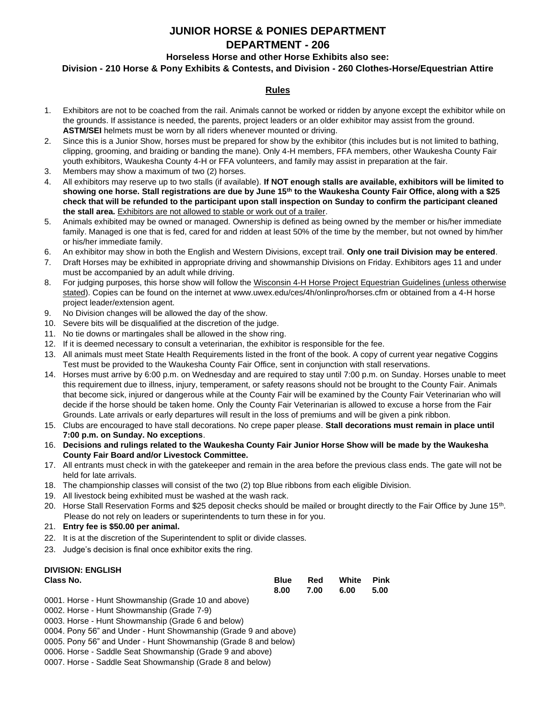# **JUNIOR HORSE & PONIES DEPARTMENT DEPARTMENT - 206**

# **Horseless Horse and other Horse Exhibits also see:**

# **Division - 210 Horse & Pony Exhibits & Contests, and Division - 260 Clothes-Horse/Equestrian Attire**

# **Rules**

- 1. Exhibitors are not to be coached from the rail. Animals cannot be worked or ridden by anyone except the exhibitor while on the grounds. If assistance is needed, the parents, project leaders or an older exhibitor may assist from the ground. **ASTM/SEI** helmets must be worn by all riders whenever mounted or driving.
- 2. Since this is a Junior Show, horses must be prepared for show by the exhibitor (this includes but is not limited to bathing, clipping, grooming, and braiding or banding the mane). Only 4-H members, FFA members, other Waukesha County Fair youth exhibitors, Waukesha County 4-H or FFA volunteers, and family may assist in preparation at the fair.
- 3. Members may show a maximum of two (2) horses.
- 4. All exhibitors may reserve up to two stalls (if available). **If NOT enough stalls are available, exhibitors will be limited to showing one horse. Stall registrations are due by June 15th to the Waukesha County Fair Office, along with a \$25 check that will be refunded to the participant upon stall inspection on Sunday to confirm the participant cleaned the stall area.** Exhibitors are not allowed to stable or work out of a trailer.
- 5. Animals exhibited may be owned or managed. Ownership is defined as being owned by the member or his/her immediate family. Managed is one that is fed, cared for and ridden at least 50% of the time by the member, but not owned by him/her or his/her immediate family.
- 6. An exhibitor may show in both the English and Western Divisions, except trail. **Only one trail Division may be entered**.
- 7. Draft Horses may be exhibited in appropriate driving and showmanship Divisions on Friday. Exhibitors ages 11 and under must be accompanied by an adult while driving.
- 8. For judging purposes, this horse show will follow the Wisconsin 4-H Horse Project Equestrian Guidelines (unless otherwise stated). Copies can be found on the internet at www.uwex.edu/ces/4h/onlinpro/horses.cfm or obtained from a 4-H horse project leader/extension agent.
- 9. No Division changes will be allowed the day of the show.
- 10. Severe bits will be disqualified at the discretion of the judge.
- 11. No tie downs or martingales shall be allowed in the show ring.
- 12. If it is deemed necessary to consult a veterinarian, the exhibitor is responsible for the fee.
- 13. All animals must meet State Health Requirements listed in the front of the book. A copy of current year negative Coggins Test must be provided to the Waukesha County Fair Office, sent in conjunction with stall reservations.
- 14. Horses must arrive by 6:00 p.m. on Wednesday and are required to stay until 7:00 p.m. on Sunday. Horses unable to meet this requirement due to illness, injury, temperament, or safety reasons should not be brought to the County Fair. Animals that become sick, injured or dangerous while at the County Fair will be examined by the County Fair Veterinarian who will decide if the horse should be taken home. Only the County Fair Veterinarian is allowed to excuse a horse from the Fair Grounds. Late arrivals or early departures will result in the loss of premiums and will be given a pink ribbon.
- 15. Clubs are encouraged to have stall decorations. No crepe paper please. **Stall decorations must remain in place until 7:00 p.m. on Sunday. No exceptions**.
- 16. **Decisions and rulings related to the Waukesha County Fair Junior Horse Show will be made by the Waukesha County Fair Board and/or Livestock Committee.**
- 17. All entrants must check in with the gatekeeper and remain in the area before the previous class ends. The gate will not be held for late arrivals.
- 18. The championship classes will consist of the two (2) top Blue ribbons from each eligible Division.
- 19. All livestock being exhibited must be washed at the wash rack.
- 20. Horse Stall Reservation Forms and \$25 deposit checks should be mailed or brought directly to the Fair Office by June 15<sup>th</sup>. Please do not rely on leaders or superintendents to turn these in for you.
- 21. **Entry fee is \$50.00 per animal.**
- 22. It is at the discretion of the Superintendent to split or divide classes.
- 23. Judge's decision is final once exhibitor exits the ring.

#### **DIVISION: ENGLISH Class No. Blue Red White Pink 8.00 7.00 6.00 5.00** 0001. Horse - Hunt Showmanship (Grade 10 and above) 0002. Horse - Hunt Showmanship (Grade 7-9) 0003. Horse - Hunt Showmanship (Grade 6 and below) 0004. Pony 56" and Under - Hunt Showmanship (Grade 9 and above) 0005. Pony 56" and Under - Hunt Showmanship (Grade 8 and below)

- 0006. Horse Saddle Seat Showmanship (Grade 9 and above)
- 0007. Horse Saddle Seat Showmanship (Grade 8 and below)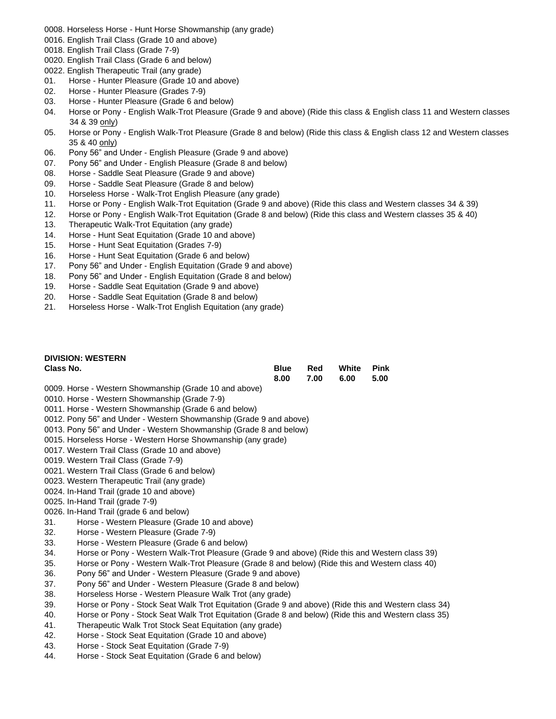- 0008. Horseless Horse Hunt Horse Showmanship (any grade)
- 0016. English Trail Class (Grade 10 and above)
- 0018. English Trail Class (Grade 7-9)
- 0020. English Trail Class (Grade 6 and below)
- 0022. English Therapeutic Trail (any grade)
- 01. Horse Hunter Pleasure (Grade 10 and above)
- 02. Horse Hunter Pleasure (Grades 7-9)
- 03. Horse Hunter Pleasure (Grade 6 and below)
- 04. Horse or Pony English Walk-Trot Pleasure (Grade 9 and above) (Ride this class & English class 11 and Western classes 34 & 39 only)
- 05. Horse or Pony English Walk-Trot Pleasure (Grade 8 and below) (Ride this class & English class 12 and Western classes 35 & 40 only)
- 06. Pony 56" and Under English Pleasure (Grade 9 and above)
- 07. Pony 56" and Under English Pleasure (Grade 8 and below)
- 08. Horse Saddle Seat Pleasure (Grade 9 and above)
- 09. Horse Saddle Seat Pleasure (Grade 8 and below)
- 10. Horseless Horse Walk-Trot English Pleasure (any grade)
- 11. Horse or Pony English Walk-Trot Equitation (Grade 9 and above) (Ride this class and Western classes 34 & 39)
- 12. Horse or Pony English Walk-Trot Equitation (Grade 8 and below) (Ride this class and Western classes 35 & 40)
- 13. Therapeutic Walk-Trot Equitation (any grade)
- 14. Horse Hunt Seat Equitation (Grade 10 and above)
- 15. Horse Hunt Seat Equitation (Grades 7-9)
- 16. Horse Hunt Seat Equitation (Grade 6 and below)
- 17. Pony 56" and Under English Equitation (Grade 9 and above)
- 18. Pony 56" and Under English Equitation (Grade 8 and below)
- 19. Horse Saddle Seat Equitation (Grade 9 and above)
- 20. Horse Saddle Seat Equitation (Grade 8 and below)
- 21. Horseless Horse Walk-Trot English Equitation (any grade)

# **DIVISION: WESTERN**

| Class No. | Blue | Red | White Pink     |  |
|-----------|------|-----|----------------|--|
|           | 8.00 |     | 7.00 6.00 5.00 |  |

- 0009. Horse Western Showmanship (Grade 10 and above)
- 0010. Horse Western Showmanship (Grade 7-9)
- 0011. Horse Western Showmanship (Grade 6 and below)
- 0012. Pony 56" and Under Western Showmanship (Grade 9 and above)
- 0013. Pony 56" and Under Western Showmanship (Grade 8 and below)
- 0015. Horseless Horse Western Horse Showmanship (any grade)
- 0017. Western Trail Class (Grade 10 and above)
- 0019. Western Trail Class (Grade 7-9)
- 0021. Western Trail Class (Grade 6 and below)
- 0023. Western Therapeutic Trail (any grade)
- 0024. In-Hand Trail (grade 10 and above)
- 0025. In-Hand Trail (grade 7-9)
- 0026. In-Hand Trail (grade 6 and below)
- 31. Horse Western Pleasure (Grade 10 and above)
- 32. Horse Western Pleasure (Grade 7-9)
- 33. Horse Western Pleasure (Grade 6 and below)
- 34. Horse or Pony Western Walk-Trot Pleasure (Grade 9 and above) (Ride this and Western class 39)
- 35. Horse or Pony Western Walk-Trot Pleasure (Grade 8 and below) (Ride this and Western class 40)
- 36. Pony 56" and Under Western Pleasure (Grade 9 and above)
- 37. Pony 56" and Under Western Pleasure (Grade 8 and below)
- 38. Horseless Horse Western Pleasure Walk Trot (any grade)
- 39. Horse or Pony Stock Seat Walk Trot Equitation (Grade 9 and above) (Ride this and Western class 34)
- 40. Horse or Pony Stock Seat Walk Trot Equitation (Grade 8 and below) (Ride this and Western class 35)
- 41. Therapeutic Walk Trot Stock Seat Equitation (any grade)
- 42. Horse Stock Seat Equitation (Grade 10 and above)
- 43. Horse Stock Seat Equitation (Grade 7-9)
- 44. Horse Stock Seat Equitation (Grade 6 and below)